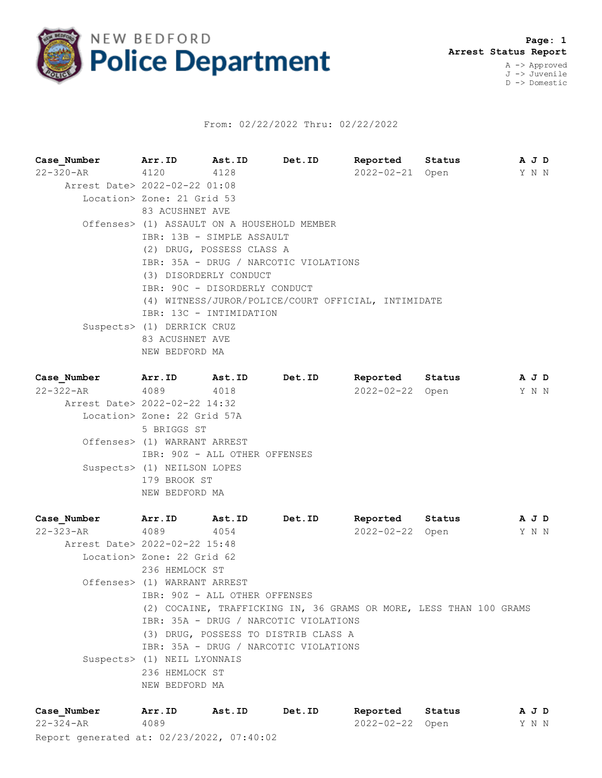

## From: 02/22/2022 Thru: 02/22/2022

**Case\_Number Arr.ID Ast.ID Det.ID Reported Status A J D** 22-320-AR 4120 4128 2022-02-21 Open Y N N Arrest Date> 2022-02-22 01:08 Location> Zone: 21 Grid 53 83 ACUSHNET AVE Offenses> (1) ASSAULT ON A HOUSEHOLD MEMBER IBR: 13B - SIMPLE ASSAULT (2) DRUG, POSSESS CLASS A IBR: 35A - DRUG / NARCOTIC VIOLATIONS (3) DISORDERLY CONDUCT IBR: 90C - DISORDERLY CONDUCT (4) WITNESS/JUROR/POLICE/COURT OFFICIAL, INTIMIDATE IBR: 13C - INTIMIDATION Suspects> (1) DERRICK CRUZ 83 ACUSHNET AVE NEW BEDFORD MA **Case\_Number Arr.ID Ast.ID Det.ID Reported Status A J D** 22-322-AR 4089 4018 2022-02-22 Open Y N N Arrest Date> 2022-02-22 14:32 Location> Zone: 22 Grid 57A 5 BRIGGS ST Offenses> (1) WARRANT ARREST IBR: 90Z - ALL OTHER OFFENSES

 Suspects> (1) NEILSON LOPES 179 BROOK ST NEW BEDFORD MA

**Case\_Number Arr.ID Ast.ID Det.ID Reported Status A J D** 22-323-AR 4089 4054 2022-02-22 Open Y N N Arrest Date> 2022-02-22 15:48 Location> Zone: 22 Grid 62 236 HEMLOCK ST Offenses> (1) WARRANT ARREST IBR: 90Z - ALL OTHER OFFENSES (2) COCAINE, TRAFFICKING IN, 36 GRAMS OR MORE, LESS THAN 100 GRAMS IBR: 35A - DRUG / NARCOTIC VIOLATIONS (3) DRUG, POSSESS TO DISTRIB CLASS A IBR: 35A - DRUG / NARCOTIC VIOLATIONS Suspects> (1) NEIL LYONNAIS 236 HEMLOCK ST NEW BEDFORD MA

Report generated at: 02/23/2022, 07:40:02 **Case\_Number Arr.ID Ast.ID Det.ID Reported Status A J D** 22-324-AR 4089 2022-02-22 Open Y N N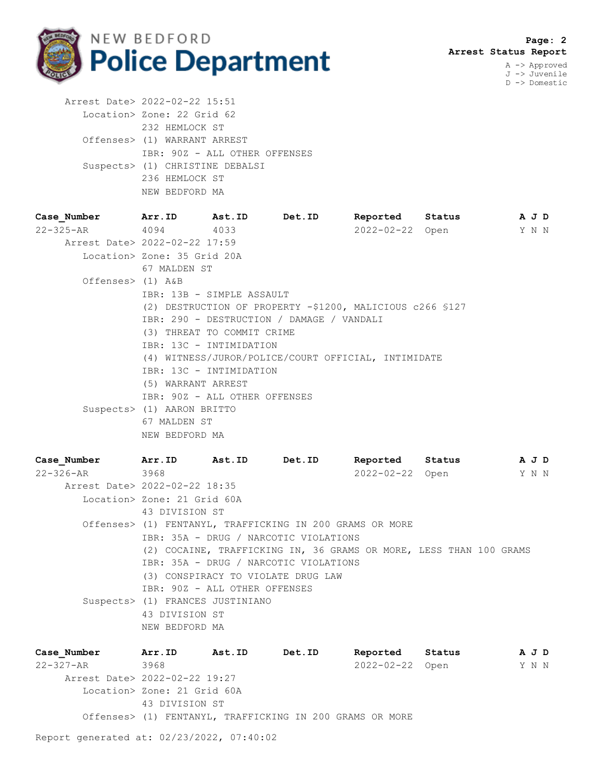

J -> Juvenile D -> Domestic

| Arrest Date> 2022-02-22 15:51   |
|---------------------------------|
| Location> Zone: 22 Grid 62      |
| 232 HEMLOCK ST                  |
| Offenses> (1) WARRANT ARREST    |
| IBR: 90Z - ALL OTHER OFFENSES   |
| Suspects> (1) CHRISTINE DEBALSI |
| 236 HEMLOCK ST                  |
| NEW BEDFORD MA                  |

| Case Number                   | Arr.ID Ast.ID                                       |                               | Det.ID                                                    | Reported Status |  |  | A J D |  |  |
|-------------------------------|-----------------------------------------------------|-------------------------------|-----------------------------------------------------------|-----------------|--|--|-------|--|--|
| 22-325-AR                     | 4094                                                | 4033                          |                                                           | 2022-02-22 Open |  |  | YNN   |  |  |
| Arrest Date> 2022-02-22 17:59 |                                                     |                               |                                                           |                 |  |  |       |  |  |
|                               | Location> Zone: 35 Grid 20A                         |                               |                                                           |                 |  |  |       |  |  |
|                               | 67 MALDEN ST                                        |                               |                                                           |                 |  |  |       |  |  |
| Offenses> (1) A&B             |                                                     |                               |                                                           |                 |  |  |       |  |  |
|                               |                                                     | IBR: 13B - SIMPLE ASSAULT     |                                                           |                 |  |  |       |  |  |
|                               |                                                     |                               | (2) DESTRUCTION OF PROPERTY -\$1200, MALICIOUS c266 \$127 |                 |  |  |       |  |  |
|                               |                                                     |                               | IBR: 290 - DESTRUCTION / DAMAGE / VANDALI                 |                 |  |  |       |  |  |
|                               |                                                     | (3) THREAT TO COMMIT CRIME    |                                                           |                 |  |  |       |  |  |
|                               |                                                     | IBR: 13C - INTIMIDATION       |                                                           |                 |  |  |       |  |  |
|                               | (4) WITNESS/JUROR/POLICE/COURT OFFICIAL, INTIMIDATE |                               |                                                           |                 |  |  |       |  |  |
|                               |                                                     | IBR: 13C - INTIMIDATION       |                                                           |                 |  |  |       |  |  |
|                               | (5) WARRANT ARREST                                  |                               |                                                           |                 |  |  |       |  |  |
|                               |                                                     | IBR: 90Z - ALL OTHER OFFENSES |                                                           |                 |  |  |       |  |  |
|                               | Suspects> (1) AARON BRITTO                          |                               |                                                           |                 |  |  |       |  |  |
|                               | 67 MALDEN ST                                        |                               |                                                           |                 |  |  |       |  |  |
|                               | NEW BEDFORD MA                                      |                               |                                                           |                 |  |  |       |  |  |

**Case\_Number Arr.ID Ast.ID Det.ID Reported Status A J D** 22-326-AR 3968 2022-02-22 Open Y N N Arrest Date> 2022-02-22 18:35 Location> Zone: 21 Grid 60A 43 DIVISION ST Offenses> (1) FENTANYL, TRAFFICKING IN 200 GRAMS OR MORE IBR: 35A - DRUG / NARCOTIC VIOLATIONS (2) COCAINE, TRAFFICKING IN, 36 GRAMS OR MORE, LESS THAN 100 GRAMS IBR: 35A - DRUG / NARCOTIC VIOLATIONS (3) CONSPIRACY TO VIOLATE DRUG LAW IBR: 90Z - ALL OTHER OFFENSES Suspects> (1) FRANCES JUSTINIANO 43 DIVISION ST NEW BEDFORD MA

**Case\_Number Arr.ID Ast.ID Det.ID Reported Status A J D** 22-327-AR 3968 2022-02-22 Open Y N N Arrest Date> 2022-02-22 19:27 Location> Zone: 21 Grid 60A 43 DIVISION ST Offenses> (1) FENTANYL, TRAFFICKING IN 200 GRAMS OR MORE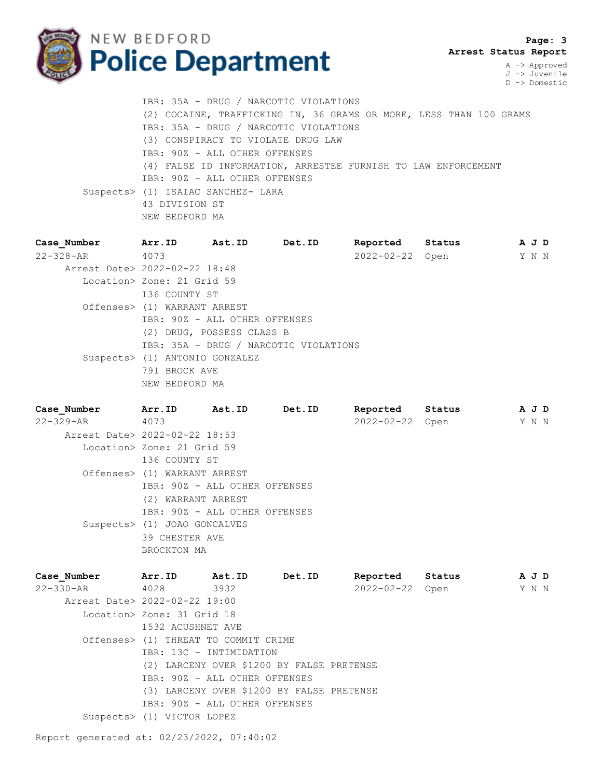

 **Page: 3 Arrest Status Report**

A -> Approved J -> Juvenile D -> Domestic

 IBR: 35A - DRUG / NARCOTIC VIOLATIONS (2) COCAINE, TRAFFICKING IN, 36 GRAMS OR MORE, LESS THAN 100 GRAMS IBR: 35A - DRUG / NARCOTIC VIOLATIONS (3) CONSPIRACY TO VIOLATE DRUG LAW IBR: 90Z - ALL OTHER OFFENSES (4) FALSE ID INFORMATION, ARRESTEE FURNISH TO LAW ENFORCEMENT IBR: 90Z - ALL OTHER OFFENSES Suspects> (1) ISAIAC SANCHEZ- LARA 43 DIVISION ST NEW BEDFORD MA

| Case Number                   | Arr.ID         | Ast.ID                                | Det.ID | Reported        | Status | A J D |  |
|-------------------------------|----------------|---------------------------------------|--------|-----------------|--------|-------|--|
| 22-328-AR                     | 4073           |                                       |        | 2022-02-22 Open |        | Y N N |  |
| Arrest Date> 2022-02-22 18:48 |                |                                       |        |                 |        |       |  |
| Location> Zone: 21 Grid 59    |                |                                       |        |                 |        |       |  |
|                               | 136 COUNTY ST  |                                       |        |                 |        |       |  |
| Offenses> (1) WARRANT ARREST  |                |                                       |        |                 |        |       |  |
|                               |                | IBR: 90Z - ALL OTHER OFFENSES         |        |                 |        |       |  |
|                               |                | (2) DRUG, POSSESS CLASS B             |        |                 |        |       |  |
|                               |                | IBR: 35A - DRUG / NARCOTIC VIOLATIONS |        |                 |        |       |  |
|                               |                | Suspects> (1) ANTONIO GONZALEZ        |        |                 |        |       |  |
|                               | 791 BROCK AVE  |                                       |        |                 |        |       |  |
|                               | NEW BEDFORD MA |                                       |        |                 |        |       |  |
|                               |                |                                       |        |                 |        |       |  |

**Case\_Number Arr.ID Ast.ID Det.ID Reported Status A J D** 22-329-AR 4073 2022-02-22 Open Y N N Arrest Date> 2022-02-22 18:53 Location> Zone: 21 Grid 59 136 COUNTY ST Offenses> (1) WARRANT ARREST IBR: 90Z - ALL OTHER OFFENSES (2) WARRANT ARREST IBR: 90Z - ALL OTHER OFFENSES Suspects> (1) JOAO GONCALVES 39 CHESTER AVE BROCKTON MA

**Case\_Number Arr.ID Ast.ID Det.ID Reported Status A J D** 22-330-AR 4028 3932 2022-02-22 Open Y N N Arrest Date> 2022-02-22 19:00 Location> Zone: 31 Grid 18 1532 ACUSHNET AVE Offenses> (1) THREAT TO COMMIT CRIME IBR: 13C - INTIMIDATION (2) LARCENY OVER \$1200 BY FALSE PRETENSE IBR: 90Z - ALL OTHER OFFENSES (3) LARCENY OVER \$1200 BY FALSE PRETENSE IBR: 90Z - ALL OTHER OFFENSES Suspects> (1) VICTOR LOPEZ